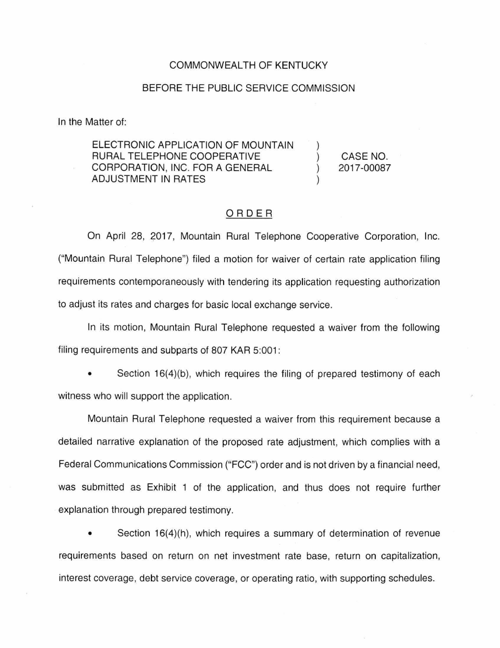## COMMONWEALTH OF KENTUCKY

## BEFORE THE PUBLIC SERVICE COMMISSION

In the Matter of:

ELECTRONIC APPLICATION OF MOUNTAIN RURAL TELEPHONE COOPERATIVE CORPORATION, INC. FOR A GENERAL ADJUSTMENT IN RATES

CASE NO. 2017-00087

## ORDER

On April 28, 2017, Mountain Rural Telephone Cooperative Corporation, Inc. ("Mountain Rural Telephone") filed a motion for waiver of certain rate application filing requirements contemporaneously with tendering its application requesting authorization to adjust its rates and charges for basic local exchange service.

In its motion, Mountain Rural Telephone requested a waiver from the following filing requirements and subparts of 807 KAR 5:001:

Section 16(4)(b), which requires the filing of prepared testimony of each witness who will support the application.

Mountain Rural Telephone requested a waiver from this requirement because a detailed narrative explanation of the proposed rate adjustment, which complies with a Federal Communications Commission ("FCC") order and is not driven by a financial need, was submitted as Exhibit 1 of the application, and thus does not require further explanation through prepared testimony.

• Section 16(4)(h), which requires a summary of determination of revenue requirements based on return on net investment rate base, return on capitalization, interest coverage, debt service coverage, or operating ratio, with supporting schedules.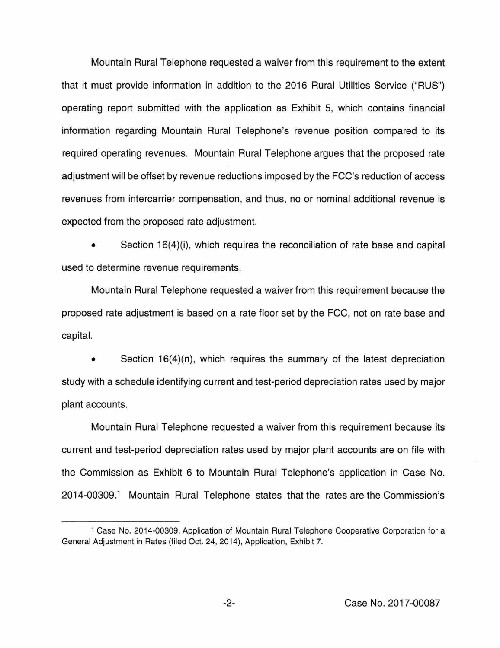Mountain Rural Telephone requested a waiver from this requirement to the extent that it must provide information in addition to the 2016 Rural Utilities Service ("RUS") operating report submitted with the application as Exhibit 5, which contains financial information regarding Mountain Rural Telephone's revenue position compared to its required operating revenues. Mountain Rural Telephone argues that the proposed rate adjustment will be offset by revenue reductions imposed by the FCC's reduction of access revenues from intercarrier compensation, and thus, no or nominal additional revenue is expected from the proposed rate adjustment.

Section 16(4)(i), which requires the reconciliation of rate base and capital used to determine revenue requirements.

Mountain Rural Telephone requested a waiver from this requirement because the proposed rate adjustment is based on a rate floor set by the FCC, not on rate base and capital.

Section  $16(4)(n)$ , which requires the summary of the latest depreciation study with a schedule identifying current and test-period depreciation rates used by major plant accounts.

Mountain Rural Telephone requested a waiver from this requirement because its current and test-period depreciation rates used by major plant accounts are on file with the Commission as Exhibit 6 to Mountain Rural Telephone's application in Case No. 2014-00309. 1 Mountain Rural Telephone states that the rates are the Commission's

<sup>1</sup>Case No. 2014-00309, Application of Mountain Rural Telephone Cooperative Corporation for a General Adjustment in Rates (filed Oct. 24, 2014), Application, Exhibit 7.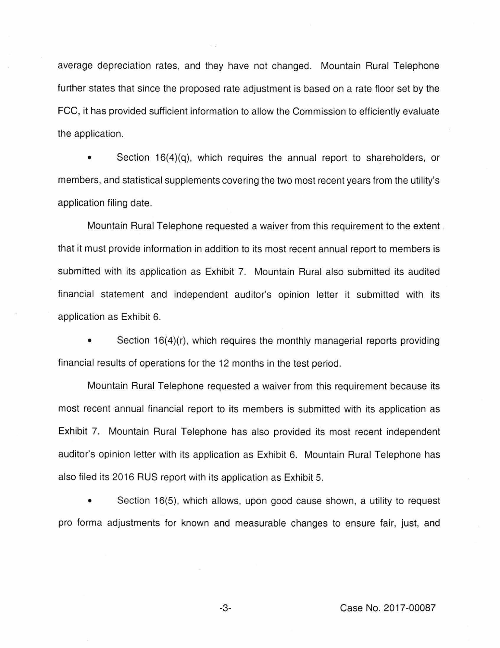average depreciation rates, and they have not changed. Mountain Rural Telephone further states that since the proposed rate adjustment is based on a rate floor set by the FCC, it has provided sufficient information to allow the Commission to efficiently evaluate the application.

Section  $16(4)(q)$ , which requires the annual report to shareholders, or members, and statistical supplements covering the two most recent years from the utility's application filing date.

Mountain Rural Telephone requested a waiver from this requirement to the extent that it must provide information in addition to its most recent annual report to members is submitted with its application as Exhibit 7. Mountain Rural also submitted its audited financial statement and independent auditor's opinion letter it submitted with its application as Exhibit 6.

Section 16(4)(r), which requires the monthly managerial reports providing financial results of operations for the 12 months in the test period.

Mountain Rural Telephone requested a waiver from this requirement because its most recent annual financial report to its members is submitted with its application as Exhibit 7. Mountain Rural Telephone has also provided its most recent independent auditor's opinion letter with its application as Exhibit 6. Mountain Rural Telephone has also filed its 2016 RUS report with its application as Exhibit 5.

• Section 16(5), which allows, upon good cause shown, a utility to request pro forma adjustments for known and measurable changes to ensure fair, just, and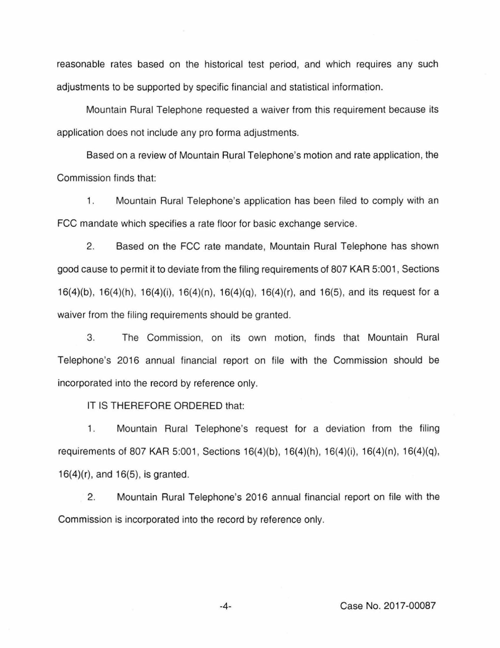reasonable rates based on the historical test period, and which requires any such adjustments to be supported by specific financial and statistical information.

Mountain Rural Telephone requested a waiver from this requirement because its application does not include any pro forma adjustments.

Based on a review of Mountain Rural Telephone's motion and rate application, the Commission finds that:

1. Mountain Rural Telephone's application has been filed to comply with an FCC mandate which specifies a rate floor for basic exchange service.

2. Based on the FCC rate mandate, Mountain Rural Telephone has shown good cause to permit it to deviate from the filing requirements of 807 KAR 5:001 , Sections 16(4)(b), 16(4)(h), 16(4)(i), 16(4)(n), 16(4)(q), 16(4)(r), and 16(5), and its request for a waiver from the filing requirements should be granted.

3. The Commission, on its own motion, finds that Mountain Rural Telephone's 2016 annual financial report on file with the Commission should be incorporated into the record by reference only.

IT IS THEREFORE ORDERED that:

1. Mountain Rural Telephone's request for a deviation from the filing requirements of 807 KAR 5:001, Sections 16(4)(b), 16(4)(h), 16(4)(i), 16(4)(n), 16(4)(q), 16(4)(r), and 16(5). is granted.

2. Mountain Rural Telephone's 2016 annual financial report on file with the Commission is incorporated into the record by reference only.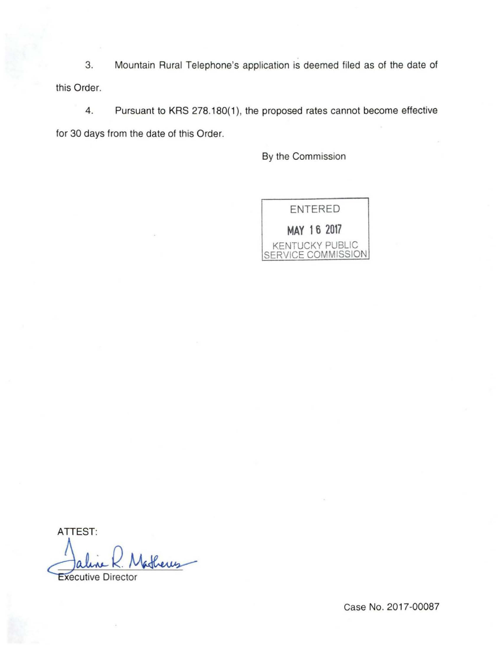3. Mountain Rural Telephone's application is deemed filed as of the date of this Order.

4. Pursuant to KRS 278.180(1), the proposed rates cannot become effective for 30 days from the date of this Order.

By the Commission



ATTEST: Mathews<br>or

Case No. 2017-00087